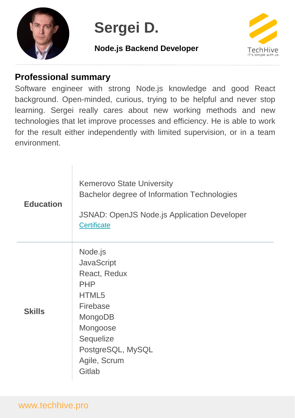

# **Sergei D.**

## **Node.js Backend Developer**



# **Professional summary**

 $\mathbb{I}$ 

Software engineer with strong Node.js knowledge and good React background. Open-minded, curious, trying to be helpful and never stop learning. Sergei really cares about new working methods and new technologies that let improve processes and efficiency. He is able to work for the result either independently with limited supervision, or in a team environment.

| <b>Education</b> | <b>Kemerovo State University</b><br>Bachelor degree of Information Technologies<br><b>JSNAD: OpenJS Node.js Application Developer</b><br><b>Certificate</b>        |
|------------------|--------------------------------------------------------------------------------------------------------------------------------------------------------------------|
| <b>Skills</b>    | Node.js<br><b>JavaScript</b><br>React, Redux<br><b>PHP</b><br>HTML5<br>Firebase<br>MongoDB<br>Mongoose<br>Sequelize<br>PostgreSQL, MySQL<br>Agile, Scrum<br>Gitlab |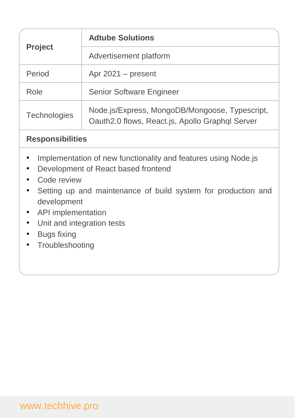| <b>Project</b>      | <b>Adtube Solutions</b>                                                                           |
|---------------------|---------------------------------------------------------------------------------------------------|
|                     | Advertisement platform                                                                            |
| Period              | Apr $2021$ – present                                                                              |
| Role                | <b>Senior Software Engineer</b>                                                                   |
| <b>Technologies</b> | Node.js/Express, MongoDB/Mongoose, Typescript,<br>Oauth2.0 flows, React.js, Apollo Graphql Server |

#### **Responsibilities**

- Implementation of new functionality and features using Node.js
- Development of React based frontend
- Code review
- Setting up and maintenance of build system for production and development
- API implementation
- Unit and integration tests
- Bugs fixing
- Troubleshooting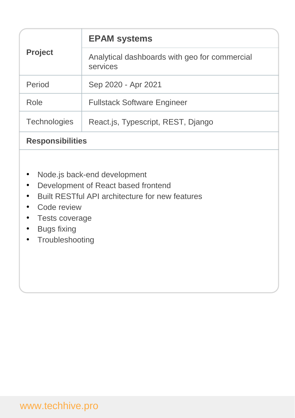| <b>Project</b>      | <b>EPAM systems</b>                                       |
|---------------------|-----------------------------------------------------------|
|                     | Analytical dashboards with geo for commercial<br>services |
| Period              | Sep 2020 - Apr 2021                                       |
| Role                | <b>Fullstack Software Engineer</b>                        |
| <b>Technologies</b> | React.js, Typescript, REST, Django                        |
|                     |                                                           |

#### **Responsibilities**

- Node.js back-end development
- Development of React based frontend
- Built RESTful API architecture for new features
- Code review
- Tests coverage
- Bugs fixing
- Troubleshooting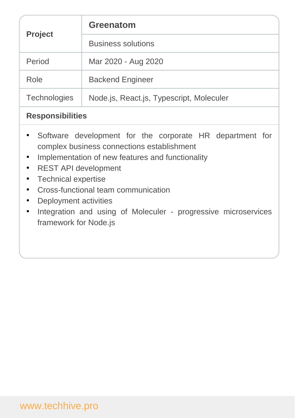|                                                                                                                                                                                                                                                                                                                                                                                    | <b>Greenatom</b>                         |  |
|------------------------------------------------------------------------------------------------------------------------------------------------------------------------------------------------------------------------------------------------------------------------------------------------------------------------------------------------------------------------------------|------------------------------------------|--|
| <b>Project</b>                                                                                                                                                                                                                                                                                                                                                                     | <b>Business solutions</b>                |  |
| Period                                                                                                                                                                                                                                                                                                                                                                             | Mar 2020 - Aug 2020                      |  |
| Role                                                                                                                                                                                                                                                                                                                                                                               | <b>Backend Engineer</b>                  |  |
| <b>Technologies</b>                                                                                                                                                                                                                                                                                                                                                                | Node.js, React.js, Typescript, Moleculer |  |
| <b>Responsibilities</b>                                                                                                                                                                                                                                                                                                                                                            |                                          |  |
| Software development for the corporate HR department for<br>complex business connections establishment<br>Implementation of new features and functionality<br><b>REST API development</b><br><b>Technical expertise</b><br>Cross-functional team communication<br>Deployment activities<br>Integration and using of Moleculer - progressive microservices<br>framework for Node.js |                                          |  |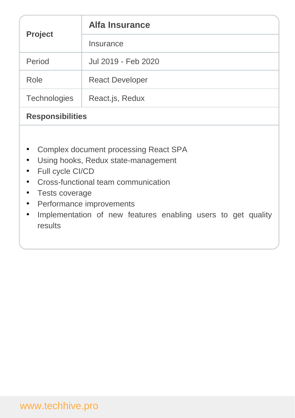| <b>Project</b>          | <b>Alfa Insurance</b>  |
|-------------------------|------------------------|
|                         | Insurance              |
| Period                  | Jul 2019 - Feb 2020    |
| Role                    | <b>React Developer</b> |
| <b>Technologies</b>     | React.js, Redux        |
| <b>Responsibilities</b> |                        |

- Complex document processing React SPA
- Using hooks, Redux state-management
- Full cycle CI/CD
- Cross-functional team communication
- Tests coverage
- Performance improvements
- Implementation of new features enabling users to get quality results